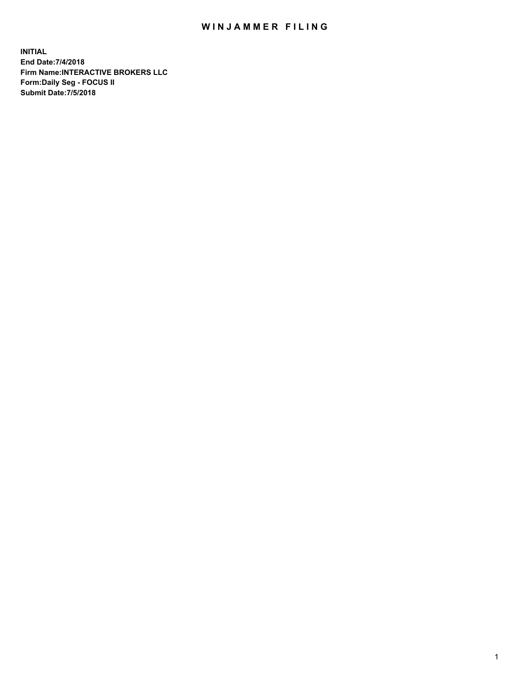## WIN JAMMER FILING

**INITIAL End Date:7/4/2018 Firm Name:INTERACTIVE BROKERS LLC Form:Daily Seg - FOCUS II Submit Date:7/5/2018**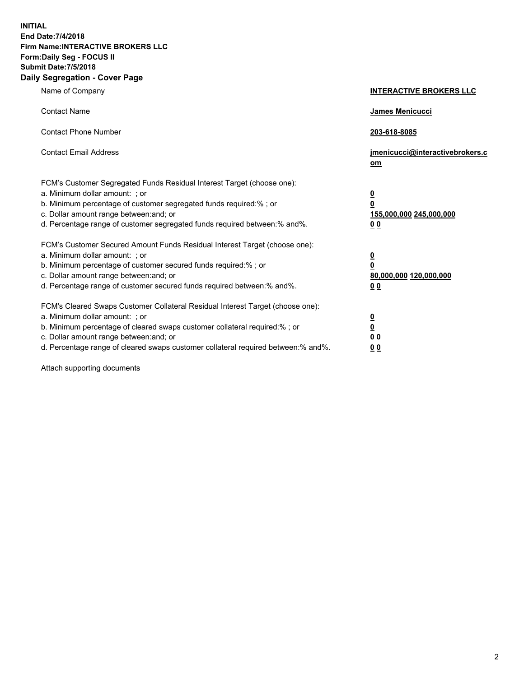**INITIAL End Date:7/4/2018 Firm Name:INTERACTIVE BROKERS LLC Form:Daily Seg - FOCUS II Submit Date:7/5/2018 Daily Segregation - Cover Page**

| Name of Company                                                                                                                                                                                                                                                                                                                | <b>INTERACTIVE BROKERS LLC</b>                                                      |
|--------------------------------------------------------------------------------------------------------------------------------------------------------------------------------------------------------------------------------------------------------------------------------------------------------------------------------|-------------------------------------------------------------------------------------|
| <b>Contact Name</b>                                                                                                                                                                                                                                                                                                            | James Menicucci                                                                     |
| <b>Contact Phone Number</b>                                                                                                                                                                                                                                                                                                    | 203-618-8085                                                                        |
| <b>Contact Email Address</b>                                                                                                                                                                                                                                                                                                   | jmenicucci@interactivebrokers.c<br>om                                               |
| FCM's Customer Segregated Funds Residual Interest Target (choose one):<br>a. Minimum dollar amount: ; or<br>b. Minimum percentage of customer segregated funds required:% ; or<br>c. Dollar amount range between: and; or<br>d. Percentage range of customer segregated funds required between:% and%.                         | $\overline{\mathbf{0}}$<br>$\overline{\mathbf{0}}$<br>155,000,000 245,000,000<br>00 |
| FCM's Customer Secured Amount Funds Residual Interest Target (choose one):<br>a. Minimum dollar amount: ; or<br>b. Minimum percentage of customer secured funds required:%; or<br>c. Dollar amount range between: and; or<br>d. Percentage range of customer secured funds required between:% and%.                            | $\overline{\mathbf{0}}$<br>0<br>80,000,000 120,000,000<br>00                        |
| FCM's Cleared Swaps Customer Collateral Residual Interest Target (choose one):<br>a. Minimum dollar amount: ; or<br>b. Minimum percentage of cleared swaps customer collateral required:% ; or<br>c. Dollar amount range between: and; or<br>d. Percentage range of cleared swaps customer collateral required between:% and%. | <u>0</u><br><u>0</u><br>0 <sub>0</sub><br>0 <sub>0</sub>                            |

Attach supporting documents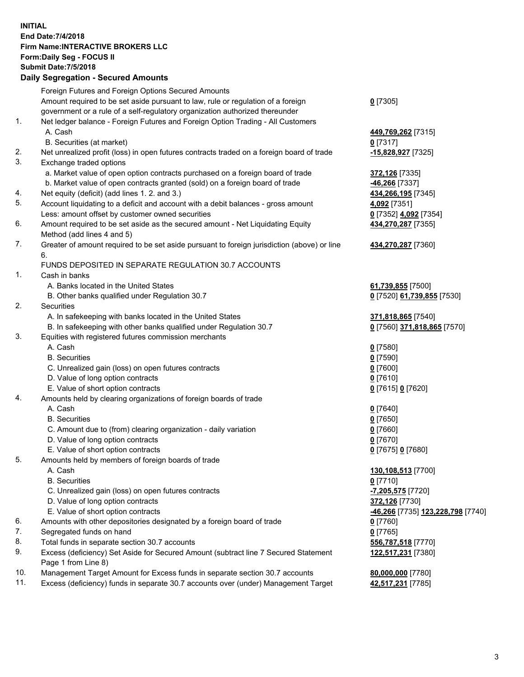## **INITIAL End Date:7/4/2018 Firm Name:INTERACTIVE BROKERS LLC Form:Daily Seg - FOCUS II Submit Date:7/5/2018 Daily Segregation - Secured Amounts**

|          | Foreign Futures and Foreign Options Secured Amounts                                                                                  |                                        |
|----------|--------------------------------------------------------------------------------------------------------------------------------------|----------------------------------------|
|          | Amount required to be set aside pursuant to law, rule or regulation of a foreign                                                     | $0$ [7305]                             |
|          | government or a rule of a self-regulatory organization authorized thereunder                                                         |                                        |
| 1.       | Net ledger balance - Foreign Futures and Foreign Option Trading - All Customers                                                      |                                        |
|          | A. Cash                                                                                                                              | 449,769,262 [7315]                     |
|          | B. Securities (at market)                                                                                                            | $0$ [7317]                             |
| 2.       | Net unrealized profit (loss) in open futures contracts traded on a foreign board of trade                                            | -15,828,927 [7325]                     |
| 3.       | Exchange traded options                                                                                                              |                                        |
|          | a. Market value of open option contracts purchased on a foreign board of trade                                                       | 372,126 [7335]                         |
|          | b. Market value of open contracts granted (sold) on a foreign board of trade                                                         | -46,266 [7337]                         |
| 4.       | Net equity (deficit) (add lines 1. 2. and 3.)                                                                                        | 434,266,195 [7345]                     |
| 5.       | Account liquidating to a deficit and account with a debit balances - gross amount                                                    | 4,092 [7351]                           |
|          | Less: amount offset by customer owned securities                                                                                     | 0 [7352] 4,092 [7354]                  |
| 6.       | Amount required to be set aside as the secured amount - Net Liquidating Equity                                                       | 434,270,287 [7355]                     |
|          | Method (add lines 4 and 5)                                                                                                           |                                        |
| 7.       | Greater of amount required to be set aside pursuant to foreign jurisdiction (above) or line                                          | 434,270,287 [7360]                     |
|          | 6.                                                                                                                                   |                                        |
|          | FUNDS DEPOSITED IN SEPARATE REGULATION 30.7 ACCOUNTS                                                                                 |                                        |
| 1.       | Cash in banks                                                                                                                        |                                        |
|          | A. Banks located in the United States                                                                                                | 61,739,855 [7500]                      |
|          | B. Other banks qualified under Regulation 30.7                                                                                       | 0 [7520] 61,739,855 [7530]             |
| 2.       | Securities                                                                                                                           |                                        |
|          | A. In safekeeping with banks located in the United States                                                                            | 371,818,865 [7540]                     |
|          | B. In safekeeping with other banks qualified under Regulation 30.7                                                                   | 0 [7560] 371,818,865 [7570]            |
| 3.       | Equities with registered futures commission merchants                                                                                |                                        |
|          | A. Cash                                                                                                                              | $0$ [7580]                             |
|          | <b>B.</b> Securities                                                                                                                 | $0$ [7590]                             |
|          | C. Unrealized gain (loss) on open futures contracts                                                                                  | $0$ [7600]                             |
|          | D. Value of long option contracts                                                                                                    | $0$ [7610]                             |
|          | E. Value of short option contracts                                                                                                   | 0 [7615] 0 [7620]                      |
| 4.       | Amounts held by clearing organizations of foreign boards of trade                                                                    |                                        |
|          | A. Cash                                                                                                                              | $0$ [7640]                             |
|          | <b>B.</b> Securities                                                                                                                 | $0$ [7650]                             |
|          | C. Amount due to (from) clearing organization - daily variation                                                                      | $0$ [7660]                             |
|          | D. Value of long option contracts                                                                                                    | $0$ [7670]                             |
|          | E. Value of short option contracts                                                                                                   | 0 [7675] 0 [7680]                      |
| 5.       | Amounts held by members of foreign boards of trade                                                                                   |                                        |
|          | A. Cash                                                                                                                              | 130,108,513 [7700]                     |
|          | <b>B.</b> Securities                                                                                                                 | $0$ [7710]                             |
|          | C. Unrealized gain (loss) on open futures contracts                                                                                  | <mark>-7,205,575</mark> [7720]         |
|          | D. Value of long option contracts                                                                                                    | 372,126 [7730]                         |
|          | E. Value of short option contracts                                                                                                   | -46,266 [7735] 123,228,798 [7740]      |
| 6.       | Amounts with other depositories designated by a foreign board of trade                                                               | $0$ [7760]                             |
| 7.       | Segregated funds on hand                                                                                                             | $0$ [7765]                             |
| 8.<br>9. | Total funds in separate section 30.7 accounts<br>Excess (deficiency) Set Aside for Secured Amount (subtract line 7 Secured Statement | 556,787,518 [7770]                     |
|          |                                                                                                                                      | 122,517,231 [7380]                     |
| 10.      | Page 1 from Line 8)<br>Management Target Amount for Excess funds in separate section 30.7 accounts                                   |                                        |
| 11.      | Excess (deficiency) funds in separate 30.7 accounts over (under) Management Target                                                   | 80,000,000 [7780]<br>42,517,231 [7785] |
|          |                                                                                                                                      |                                        |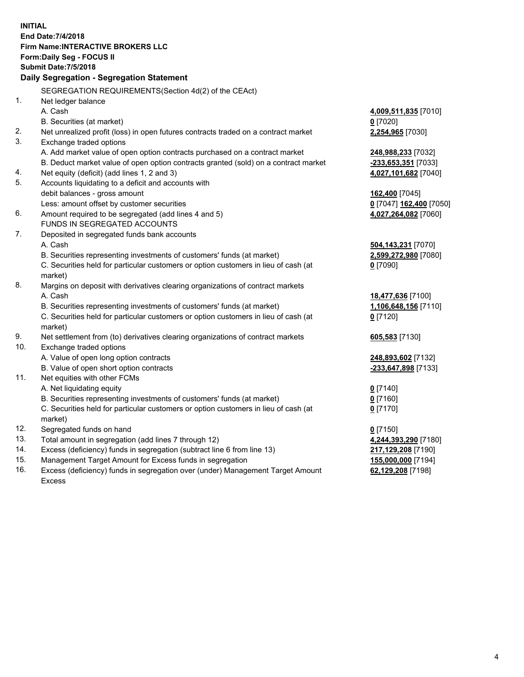**INITIAL End Date:7/4/2018 Firm Name:INTERACTIVE BROKERS LLC Form:Daily Seg - FOCUS II Submit Date:7/5/2018 Daily Segregation - Segregation Statement** SEGREGATION REQUIREMENTS(Section 4d(2) of the CEAct) 1. Net ledger balance A. Cash **4,009,511,835** [7010] B. Securities (at market) **0** [7020] 2. Net unrealized profit (loss) in open futures contracts traded on a contract market **2,254,965** [7030] 3. Exchange traded options A. Add market value of open option contracts purchased on a contract market **248,988,233** [7032] B. Deduct market value of open option contracts granted (sold) on a contract market **-233,653,351** [7033] 4. Net equity (deficit) (add lines 1, 2 and 3) **4,027,101,682** [7040] 5. Accounts liquidating to a deficit and accounts with debit balances - gross amount **162,400** [7045] Less: amount offset by customer securities **0** [7047] **162,400** [7050] 6. Amount required to be segregated (add lines 4 and 5) **4,027,264,082** [7060] FUNDS IN SEGREGATED ACCOUNTS 7. Deposited in segregated funds bank accounts A. Cash **504,143,231** [7070] B. Securities representing investments of customers' funds (at market) **2,599,272,980** [7080] C. Securities held for particular customers or option customers in lieu of cash (at market) **0** [7090] 8. Margins on deposit with derivatives clearing organizations of contract markets A. Cash **18,477,636** [7100] B. Securities representing investments of customers' funds (at market) **1,106,648,156** [7110] C. Securities held for particular customers or option customers in lieu of cash (at market) **0** [7120] 9. Net settlement from (to) derivatives clearing organizations of contract markets **605,583** [7130] 10. Exchange traded options A. Value of open long option contracts **248,893,602** [7132] B. Value of open short option contracts **-233,647,898** [7133] 11. Net equities with other FCMs A. Net liquidating equity **0** [7140] B. Securities representing investments of customers' funds (at market) **0** [7160] C. Securities held for particular customers or option customers in lieu of cash (at market) **0** [7170] 12. Segregated funds on hand **0** [7150] 13. Total amount in segregation (add lines 7 through 12) **4,244,393,290** [7180] 14. Excess (deficiency) funds in segregation (subtract line 6 from line 13) **217,129,208** [7190] 15. Management Target Amount for Excess funds in segregation **155,000,000** [7194] **62,129,208** [7198]

16. Excess (deficiency) funds in segregation over (under) Management Target Amount Excess